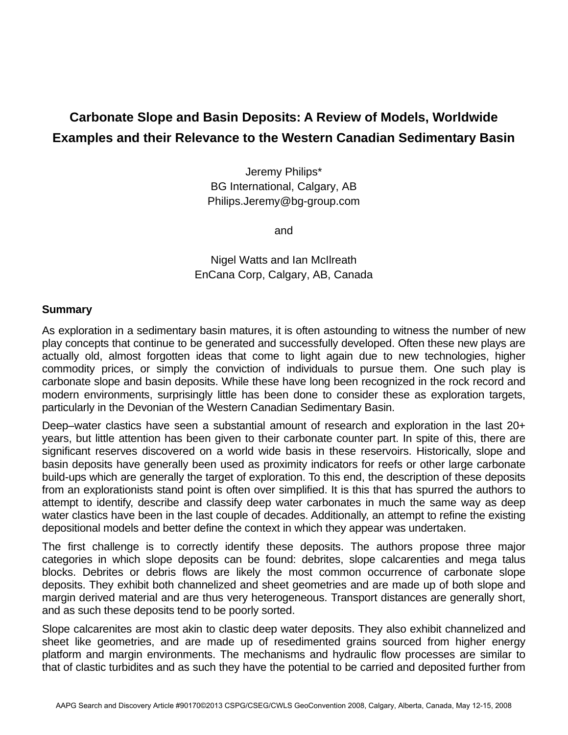## **Carbonate Slope and Basin Deposits: A Review of Models, Worldwide Examples and their Relevance to the Western Canadian Sedimentary Basin**

Jeremy Philips\* BG International, Calgary, AB Philips.Jeremy@bg-group.com

and

Nigel Watts and Ian McIlreath EnCana Corp, Calgary, AB, Canada

## **Summary**

As exploration in a sedimentary basin matures, it is often astounding to witness the number of new play concepts that continue to be generated and successfully developed. Often these new plays are actually old, almost forgotten ideas that come to light again due to new technologies, higher commodity prices, or simply the conviction of individuals to pursue them. One such play is carbonate slope and basin deposits. While these have long been recognized in the rock record and modern environments, surprisingly little has been done to consider these as exploration targets, particularly in the Devonian of the Western Canadian Sedimentary Basin.

Deep–water clastics have seen a substantial amount of research and exploration in the last 20+ years, but little attention has been given to their carbonate counter part. In spite of this, there are significant reserves discovered on a world wide basis in these reservoirs. Historically, slope and basin deposits have generally been used as proximity indicators for reefs or other large carbonate build-ups which are generally the target of exploration. To this end, the description of these deposits from an explorationists stand point is often over simplified. It is this that has spurred the authors to attempt to identify, describe and classify deep water carbonates in much the same way as deep water clastics have been in the last couple of decades. Additionally, an attempt to refine the existing depositional models and better define the context in which they appear was undertaken.

The first challenge is to correctly identify these deposits. The authors propose three major categories in which slope deposits can be found: debrites, slope calcarenties and mega talus blocks. Debrites or debris flows are likely the most common occurrence of carbonate slope deposits. They exhibit both channelized and sheet geometries and are made up of both slope and margin derived material and are thus very heterogeneous. Transport distances are generally short, and as such these deposits tend to be poorly sorted.

Slope calcarenites are most akin to clastic deep water deposits. They also exhibit channelized and sheet like geometries, and are made up of resedimented grains sourced from higher energy platform and margin environments. The mechanisms and hydraulic flow processes are similar to that of clastic turbidites and as such they have the potential to be carried and deposited further from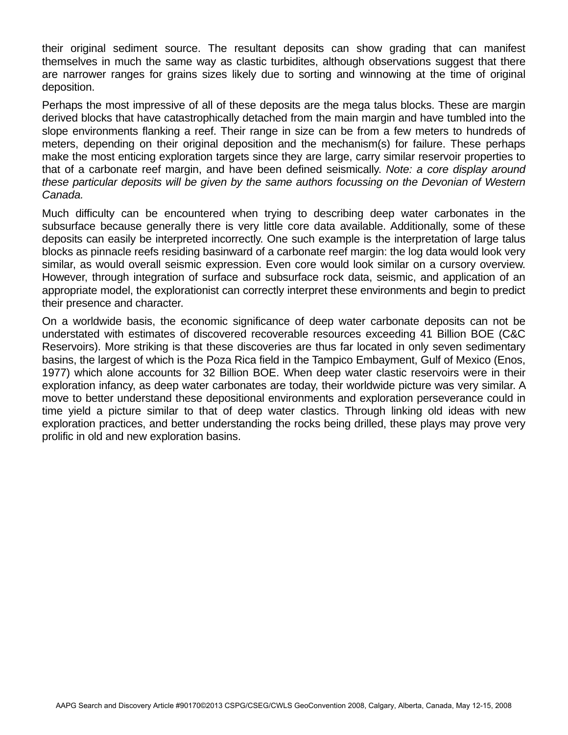their original sediment source. The resultant deposits can show grading that can manifest themselves in much the same way as clastic turbidites, although observations suggest that there are narrower ranges for grains sizes likely due to sorting and winnowing at the time of original deposition.

Perhaps the most impressive of all of these deposits are the mega talus blocks. These are margin derived blocks that have catastrophically detached from the main margin and have tumbled into the slope environments flanking a reef. Their range in size can be from a few meters to hundreds of meters, depending on their original deposition and the mechanism(s) for failure. These perhaps make the most enticing exploration targets since they are large, carry similar reservoir properties to that of a carbonate reef margin, and have been defined seismically. *Note: a core display around these particular deposits will be given by the same authors focussing on the Devonian of Western Canada.* 

Much difficulty can be encountered when trying to describing deep water carbonates in the subsurface because generally there is very little core data available. Additionally, some of these deposits can easily be interpreted incorrectly. One such example is the interpretation of large talus blocks as pinnacle reefs residing basinward of a carbonate reef margin: the log data would look very similar, as would overall seismic expression. Even core would look similar on a cursory overview. However, through integration of surface and subsurface rock data, seismic, and application of an appropriate model, the explorationist can correctly interpret these environments and begin to predict their presence and character.

On a worldwide basis, the economic significance of deep water carbonate deposits can not be understated with estimates of discovered recoverable resources exceeding 41 Billion BOE (C&C Reservoirs). More striking is that these discoveries are thus far located in only seven sedimentary basins, the largest of which is the Poza Rica field in the Tampico Embayment, Gulf of Mexico (Enos, 1977) which alone accounts for 32 Billion BOE. When deep water clastic reservoirs were in their exploration infancy, as deep water carbonates are today, their worldwide picture was very similar. A move to better understand these depositional environments and exploration perseverance could in time yield a picture similar to that of deep water clastics. Through linking old ideas with new exploration practices, and better understanding the rocks being drilled, these plays may prove very prolific in old and new exploration basins.